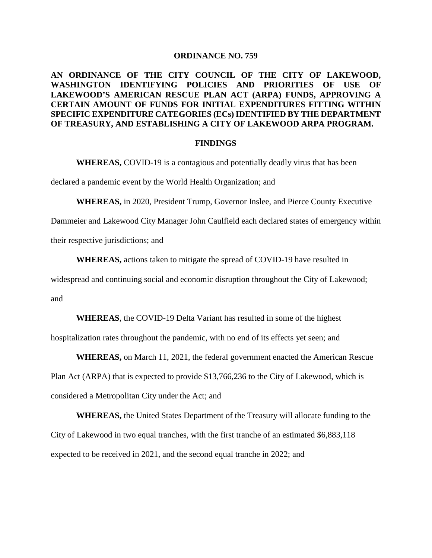#### **ORDINANCE NO. 759**

## **AN ORDINANCE OF THE CITY COUNCIL OF THE CITY OF LAKEWOOD, WASHINGTON IDENTIFYING POLICIES AND PRIORITIES OF USE OF LAKEWOOD'S AMERICAN RESCUE PLAN ACT (ARPA) FUNDS, APPROVING A CERTAIN AMOUNT OF FUNDS FOR INITIAL EXPENDITURES FITTING WITHIN SPECIFIC EXPENDITURE CATEGORIES (ECs) IDENTIFIED BY THE DEPARTMENT OF TREASURY, AND ESTABLISHING A CITY OF LAKEWOOD ARPA PROGRAM.**

#### **FINDINGS**

**WHEREAS,** COVID-19 is a contagious and potentially deadly virus that has been

declared a pandemic event by the World Health Organization; and

**WHEREAS,** in 2020, President Trump, Governor Inslee, and Pierce County Executive

Dammeier and Lakewood City Manager John Caulfield each declared states of emergency within

their respective jurisdictions; and

**WHEREAS,** actions taken to mitigate the spread of COVID-19 have resulted in

widespread and continuing social and economic disruption throughout the City of Lakewood; and

**WHEREAS**, the COVID-19 Delta Variant has resulted in some of the highest

hospitalization rates throughout the pandemic, with no end of its effects yet seen; and

**WHEREAS,** on March 11, 2021, the federal government enacted the American Rescue Plan Act (ARPA) that is expected to provide \$13,766,236 to the City of Lakewood, which is considered a Metropolitan City under the Act; and

**WHEREAS,** the United States Department of the Treasury will allocate funding to the City of Lakewood in two equal tranches, with the first tranche of an estimated \$6,883,118 expected to be received in 2021, and the second equal tranche in 2022; and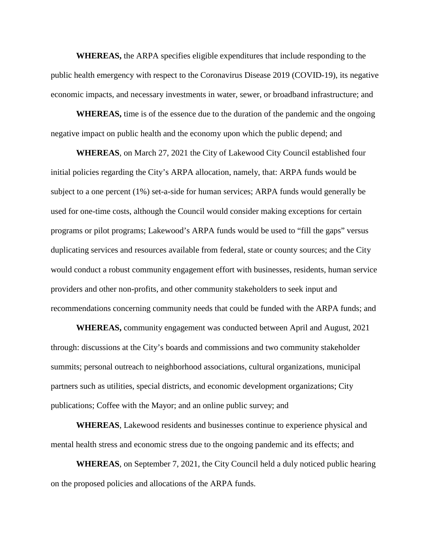**WHEREAS,** the ARPA specifies eligible expenditures that include responding to the public health emergency with respect to the Coronavirus Disease 2019 (COVID-19), its negative economic impacts, and necessary investments in water, sewer, or broadband infrastructure; and

**WHEREAS,** time is of the essence due to the duration of the pandemic and the ongoing negative impact on public health and the economy upon which the public depend; and

**WHEREAS**, on March 27, 2021 the City of Lakewood City Council established four initial policies regarding the City's ARPA allocation, namely, that: ARPA funds would be subject to a one percent (1%) set-a-side for human services; ARPA funds would generally be used for one-time costs, although the Council would consider making exceptions for certain programs or pilot programs; Lakewood's ARPA funds would be used to "fill the gaps" versus duplicating services and resources available from federal, state or county sources; and the City would conduct a robust community engagement effort with businesses, residents, human service providers and other non-profits, and other community stakeholders to seek input and recommendations concerning community needs that could be funded with the ARPA funds; and

**WHEREAS,** community engagement was conducted between April and August, 2021 through: discussions at the City's boards and commissions and two community stakeholder summits; personal outreach to neighborhood associations, cultural organizations, municipal partners such as utilities, special districts, and economic development organizations; City publications; Coffee with the Mayor; and an online public survey; and

**WHEREAS**, Lakewood residents and businesses continue to experience physical and mental health stress and economic stress due to the ongoing pandemic and its effects; and

**WHEREAS**, on September 7, 2021, the City Council held a duly noticed public hearing on the proposed policies and allocations of the ARPA funds.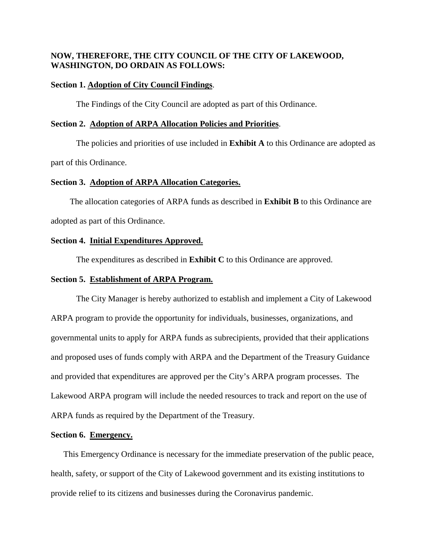## **NOW, THEREFORE, THE CITY COUNCIL OF THE CITY OF LAKEWOOD, WASHINGTON, DO ORDAIN AS FOLLOWS:**

#### **Section 1. Adoption of City Council Findings**.

The Findings of the City Council are adopted as part of this Ordinance.

#### **Section 2. Adoption of ARPA Allocation Policies and Priorities**.

The policies and priorities of use included in **Exhibit A** to this Ordinance are adopted as part of this Ordinance.

#### **Section 3. Adoption of ARPA Allocation Categories.**

 The allocation categories of ARPA funds as described in **Exhibit B** to this Ordinance are adopted as part of this Ordinance.

#### **Section 4. Initial Expenditures Approved.**

The expenditures as described in **Exhibit C** to this Ordinance are approved.

#### **Section 5. Establishment of ARPA Program.**

The City Manager is hereby authorized to establish and implement a City of Lakewood ARPA program to provide the opportunity for individuals, businesses, organizations, and governmental units to apply for ARPA funds as subrecipients, provided that their applications and proposed uses of funds comply with ARPA and the Department of the Treasury Guidance and provided that expenditures are approved per the City's ARPA program processes. The Lakewood ARPA program will include the needed resources to track and report on the use of ARPA funds as required by the Department of the Treasury.

#### **Section 6. Emergency.**

This Emergency Ordinance is necessary for the immediate preservation of the public peace, health, safety, or support of the City of Lakewood government and its existing institutions to provide relief to its citizens and businesses during the Coronavirus pandemic.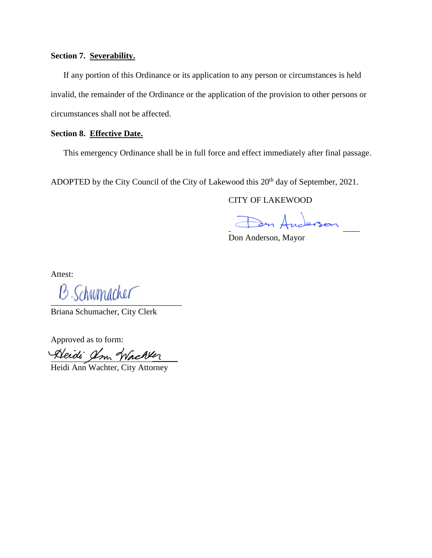### **Section 7. Severability.**

 If any portion of this Ordinance or its application to any person or circumstances is held invalid, the remainder of the Ordinance or the application of the provision to other persons or circumstances shall not be affected.

## **Section 8. Effective Date.**

This emergency Ordinance shall be in full force and effect immediately after final passage.

ADOPTED by the City Council of the City of Lakewood this 20<sup>th</sup> day of September, 2021.

CITY OF LAKEWOOD

 $\Rightarrow$  Anderson

Don Anderson, Mayor

Attest:

 $B$ . Schumacher

Briana Schumacher, City Clerk

Approved as to form:

 $\frac{a}{\sqrt{a}}$ 

Heidi Ann Wachter, City Attorney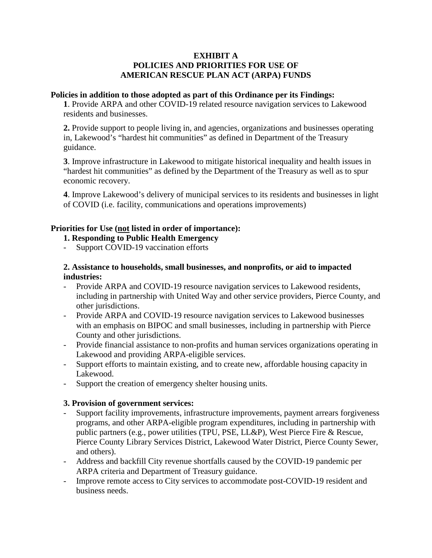## **EXHIBIT A POLICIES AND PRIORITIES FOR USE OF AMERICAN RESCUE PLAN ACT (ARPA) FUNDS**

#### **Policies in addition to those adopted as part of this Ordinance per its Findings:**

**1**. Provide ARPA and other COVID-19 related resource navigation services to Lakewood residents and businesses.

**2.** Provide support to people living in, and agencies, organizations and businesses operating in, Lakewood's "hardest hit communities" as defined in Department of the Treasury guidance.

**3**. Improve infrastructure in Lakewood to mitigate historical inequality and health issues in "hardest hit communities" as defined by the Department of the Treasury as well as to spur economic recovery.

**4**. Improve Lakewood's delivery of municipal services to its residents and businesses in light of COVID (i.e. facility, communications and operations improvements)

## **Priorities for Use (not listed in order of importance):**

## **1. Responding to Public Health Emergency**

- Support COVID-19 vaccination efforts

## **2. Assistance to households, small businesses, and nonprofits, or aid to impacted industries:**

- Provide ARPA and COVID-19 resource navigation services to Lakewood residents, including in partnership with United Way and other service providers, Pierce County, and other jurisdictions.
- Provide ARPA and COVID-19 resource navigation services to Lakewood businesses with an emphasis on BIPOC and small businesses, including in partnership with Pierce County and other jurisdictions.
- Provide financial assistance to non-profits and human services organizations operating in Lakewood and providing ARPA-eligible services.
- Support efforts to maintain existing, and to create new, affordable housing capacity in Lakewood.
- Support the creation of emergency shelter housing units.

### **3. Provision of government services:**

- Support facility improvements, infrastructure improvements, payment arrears forgiveness programs, and other ARPA-eligible program expenditures, including in partnership with public partners (e.g., power utilities (TPU, PSE, LL&P), West Pierce Fire & Rescue, Pierce County Library Services District, Lakewood Water District, Pierce County Sewer, and others).
- Address and backfill City revenue shortfalls caused by the COVID-19 pandemic per ARPA criteria and Department of Treasury guidance.
- Improve remote access to City services to accommodate post-COVID-19 resident and business needs.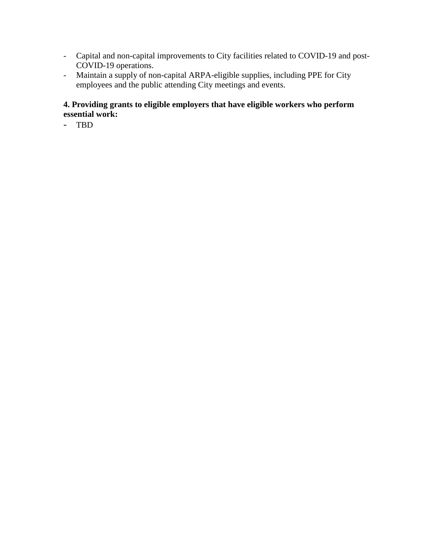- Capital and non-capital improvements to City facilities related to COVID-19 and post-COVID-19 operations.
- Maintain a supply of non-capital ARPA-eligible supplies, including PPE for City employees and the public attending City meetings and events.

# **4. Providing grants to eligible employers that have eligible workers who perform essential work:**

- TBD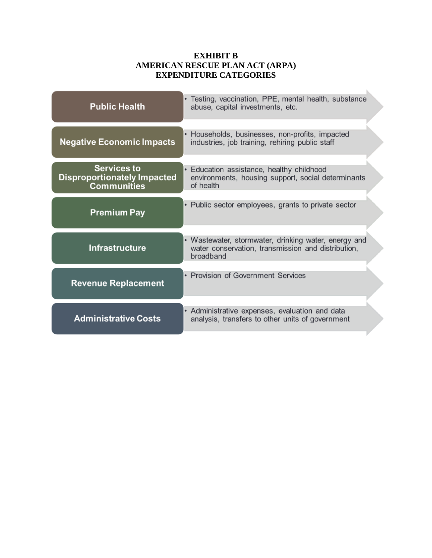# **EXHIBIT B AMERICAN RESCUE PLAN ACT (ARPA) EXPENDITURE CATEGORIES**

| <b>Public Health</b>                                                           | • Testing, vaccination, PPE, mental health, substance<br>abuse, capital investments, etc.                               |
|--------------------------------------------------------------------------------|-------------------------------------------------------------------------------------------------------------------------|
| <b>Negative Economic Impacts</b>                                               | Households, businesses, non-profits, impacted<br>industries, job training, rehiring public staff                        |
| <b>Services to</b><br><b>Disproportionately Impacted</b><br><b>Communities</b> | Education assistance, healthy childhood<br>environments, housing support, social determinants<br>of health              |
| <b>Premium Pay</b>                                                             | • Public sector employees, grants to private sector                                                                     |
| <b>Infrastructure</b>                                                          | • Wastewater, stormwater, drinking water, energy and<br>water conservation, transmission and distribution,<br>broadband |
| <b>Revenue Replacement</b>                                                     | • Provision of Government Services                                                                                      |
| <b>Administrative Costs</b>                                                    | • Administrative expenses, evaluation and data<br>analysis, transfers to other units of government                      |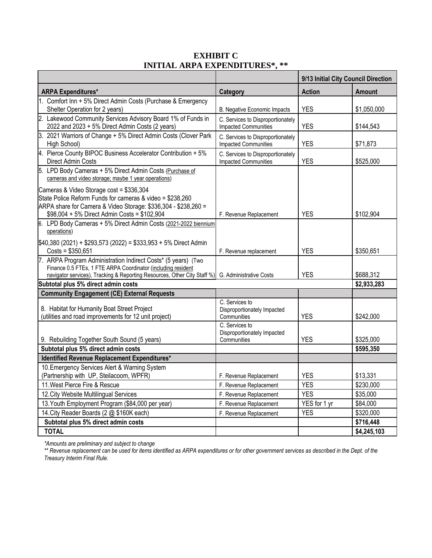|                                                                                                                                                                                                                                   |                                                                  | 9/13 Initial City Council Direction |               |
|-----------------------------------------------------------------------------------------------------------------------------------------------------------------------------------------------------------------------------------|------------------------------------------------------------------|-------------------------------------|---------------|
| <b>ARPA Expenditures*</b>                                                                                                                                                                                                         | Category                                                         | <b>Action</b>                       | <b>Amount</b> |
| 1. Comfort Inn + 5% Direct Admin Costs (Purchase & Emergency<br>Shelter Operation for 2 years)                                                                                                                                    | B. Negative Economic Impacts                                     | <b>YES</b>                          | \$1,050,000   |
| 2. Lakewood Community Services Advisory Board 1% of Funds in<br>2022 and 2023 + 5% Direct Admin Costs (2 years)                                                                                                                   | C. Services to Disproportionately<br><b>Impacted Communities</b> | <b>YES</b>                          | \$144,543     |
| 3. 2021 Warriors of Change + 5% Direct Admin Costs (Clover Park<br>High School)                                                                                                                                                   | C. Services to Disproportionately<br><b>Impacted Communities</b> | <b>YES</b>                          | \$71,873      |
| 4. Pierce County BIPOC Business Accelerator Contribution + 5%<br>Direct Admin Costs                                                                                                                                               | C. Services to Disproportionately<br><b>Impacted Communities</b> | <b>YES</b>                          | \$525,000     |
| 5. LPD Body Cameras + 5% Direct Admin Costs (Purchase of<br>cameras and video storage; maybe 1 year operations)                                                                                                                   |                                                                  |                                     |               |
| Cameras & Video Storage cost = \$336,304<br>State Police Reform Funds for cameras & video = \$238,260<br>ARPA share for Camera & Video Storage: \$336,304 - \$238,260 =<br>\$98,004 + 5% Direct Admin Costs = \$102,904           | F. Revenue Replacement                                           | <b>YES</b>                          | \$102,904     |
| 6. LPD Body Cameras + 5% Direct Admin Costs (2021-2022 biennium<br>operations)                                                                                                                                                    |                                                                  |                                     |               |
| \$40,380 (2021) + \$293,573 (2022) = \$333,953 + 5% Direct Admin<br>$Costs = $350,651$                                                                                                                                            | F. Revenue replacement                                           | <b>YES</b>                          | \$350,651     |
| 7. ARPA Program Administration Indirect Costs* (5 years) (Two<br>Finance 0.5 FTEs, 1 FTE ARPA Coordinator (including resident<br>navigator services), Tracking & Reporting Resources, Other City Staff %) G. Administrative Costs |                                                                  | <b>YES</b>                          | \$688,312     |
| Subtotal plus 5% direct admin costs                                                                                                                                                                                               |                                                                  |                                     | \$2,933,283   |
| <b>Community Engagement (CE) External Requests</b>                                                                                                                                                                                |                                                                  |                                     |               |
| 8. Habitat for Humanity Boat Street Project<br>(utilities and road improvements for 12 unit project)                                                                                                                              | C. Services to<br>Disproportionately Impacted<br>Communities     | <b>YES</b>                          | \$242,000     |
| 9. Rebuilding Together South Sound (5 years)                                                                                                                                                                                      | C. Services to<br>Disproportionately Impacted<br>Communities     | <b>YES</b>                          | \$325,000     |
| Subtotal plus 5% direct admin costs                                                                                                                                                                                               |                                                                  |                                     | \$595,350     |
| Identified Revenue Replacement Expenditures*                                                                                                                                                                                      |                                                                  |                                     |               |
| 10. Emergency Services Alert & Warning System<br>(Partnership with UP, Steilacoom, WPFR)                                                                                                                                          | F. Revenue Replacement                                           | <b>YES</b>                          | \$13,331      |
| 11. West Pierce Fire & Rescue                                                                                                                                                                                                     | F. Revenue Replacement                                           | <b>YES</b>                          | \$230,000     |
| 12. City Website Multilingual Services                                                                                                                                                                                            | F. Revenue Replacement                                           | <b>YES</b>                          | \$35,000      |
| 13. Youth Employment Program (\$84,000 per year)                                                                                                                                                                                  | F. Revenue Replacement                                           | YES for 1 yr                        | \$84,000      |
| 14. City Reader Boards (2 @ \$160K each)                                                                                                                                                                                          | F. Revenue Replacement                                           | <b>YES</b>                          | \$320,000     |
| Subtotal plus 5% direct admin costs                                                                                                                                                                                               |                                                                  |                                     | \$716,448     |
| <b>TOTAL</b>                                                                                                                                                                                                                      |                                                                  |                                     | \$4,245,103   |

# **EXHIBIT C INITIAL ARPA EXPENDITURES\*, \*\***

*\*Amounts are preliminary and subject to change*

*\*\* Revenue replacement can be used for items identified as ARPA expenditures or for other government services as described in the Dept. of the Treasury Interim Final Rule.*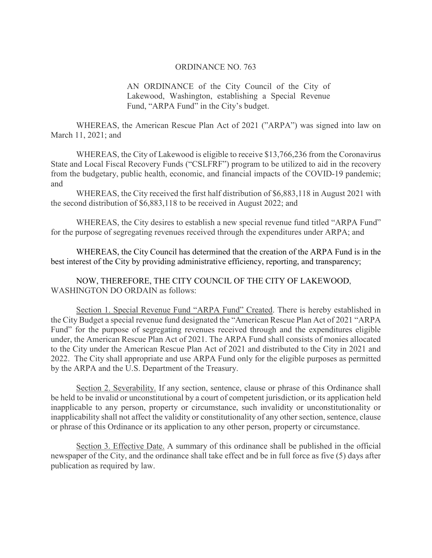#### ORDINANCE NO. 763

AN ORDINANCE of the City Council of the City of Lakewood, Washington, establishing a Special Revenue Fund, "ARPA Fund" in the City's budget.

WHEREAS, the American Rescue Plan Act of 2021 ("ARPA") was signed into law on March 11, 2021; and

WHEREAS, the City of Lakewood is eligible to receive \$13,766,236 from the Coronavirus State and Local Fiscal Recovery Funds ("CSLFRF") program to be utilized to aid in the recovery from the budgetary, public health, economic, and financial impacts of the COVID-19 pandemic; and

WHEREAS, the City received the first half distribution of \$6,883,118 in August 2021 with the second distribution of \$6,883,118 to be received in August 2022; and

WHEREAS, the City desires to establish a new special revenue fund titled "ARPA Fund" for the purpose of segregating revenues received through the expenditures under ARPA; and

WHEREAS, the City Council has determined that the creation of the ARPA Fund is in the best interest of the City by providing administrative efficiency, reporting, and transparency;

NOW, THEREFORE, THE CITY COUNCIL OF THE CITY OF LAKEWOOD, WASHINGTON DO ORDAIN as follows:

Section 1. Special Revenue Fund "ARPA Fund" Created. There is hereby established in the City Budget a special revenue fund designated the "American Rescue Plan Act of 2021 "ARPA Fund" for the purpose of segregating revenues received through and the expenditures eligible under, the American Rescue Plan Act of 2021. The ARPA Fund shall consists of monies allocated to the City under the American Rescue Plan Act of 2021 and distributed to the City in 2021 and 2022. The City shall appropriate and use ARPA Fund only for the eligible purposes as permitted by the ARPA and the U.S. Department of the Treasury.

Section 2. Severability. If any section, sentence, clause or phrase of this Ordinance shall be held to be invalid or unconstitutional by a court of competent jurisdiction, or its application held inapplicable to any person, property or circumstance, such invalidity or unconstitutionality or inapplicability shall not affect the validity or constitutionality of any other section, sentence, clause or phrase of this Ordinance or its application to any other person, property or circumstance.

Section 3. Effective Date. A summary of this ordinance shall be published in the official newspaper of the City, and the ordinance shall take effect and be in full force as five (5) days after publication as required by law.